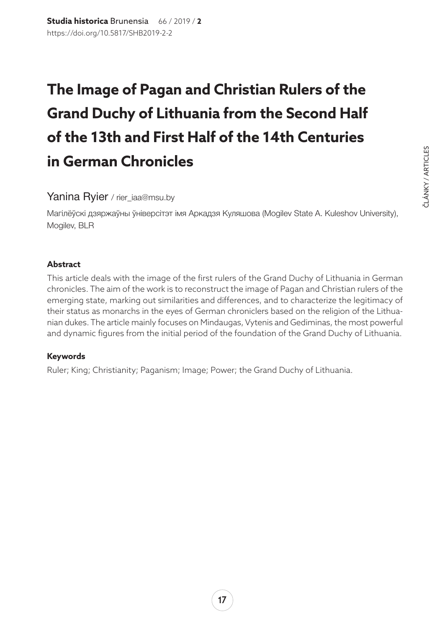# **The Image of Pagan and Christian Rulers of the Grand Duchy of Lithuania from the Second Half of the 13th and First Half of the 14th Centuries in German Chronicles**

### Yanina Ryier / rier\_iaa@msu.by

Магілёўскі дзяржаўны ўніверсітэт імя Аркадзя Куляшова (Mogilev State A. Kuleshov University), Mogilev, BLR

#### **Abstract**

This article deals with the image of the first rulers of the Grand Duchy of Lithuania in German chronicles. The aim of the work is to reconstruct the image of Pagan and Christian rulers of the emerging state, marking out similarities and differences, and to characterize the legitimacy of their status as monarchs in the eyes of German chroniclers based on the religion of the Lithuanian dukes. The article mainly focuses on Mindaugas, Vytenis and Gediminas, the most powerful and dynamic figures from the initial period of the foundation of the Grand Duchy of Lithuania.

#### **Keywords**

Ruler; King; Christianity; Paganism; Image; Power; the Grand Duchy of Lithuania.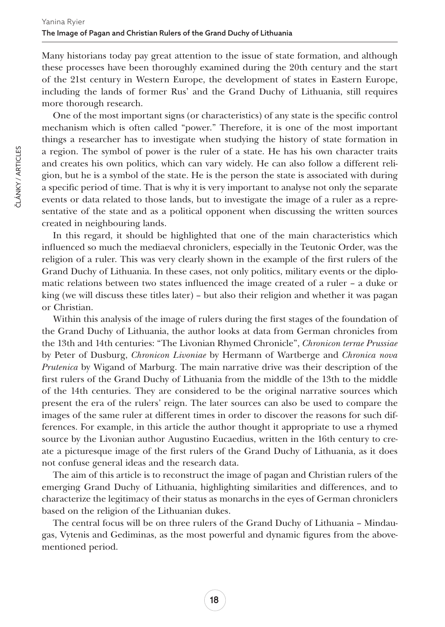Many historians today pay great attention to the issue of state formation, and although these processes have been thoroughly examined during the 20th century and the start of the 21st century in Western Europe, the development of states in Eastern Europe, including the lands of former Rus' and the Grand Duchy of Lithuania, still requires more thorough research.

One of the most important signs (or characteristics) of any state is the specific control mechanism which is often called "power." Therefore, it is one of the most important things a researcher has to investigate when studying the history of state formation in a region. The symbol of power is the ruler of a state. He has his own character traits and creates his own politics, which can vary widely. He can also follow a different religion, but he is a symbol of the state. He is the person the state is associated with during a specific period of time. That is why it is very important to analyse not only the separate events or data related to those lands, but to investigate the image of a ruler as a representative of the state and as a political opponent when discussing the written sources created in neighbouring lands.

In this regard, it should be highlighted that one of the main characteristics which influenced so much the mediaeval chroniclers, especially in the Teutonic Order, was the religion of a ruler. This was very clearly shown in the example of the first rulers of the Grand Duchy of Lithuania. In these cases, not only politics, military events or the diplomatic relations between two states influenced the image created of a ruler – a duke or king (we will discuss these titles later) – but also their religion and whether it was pagan or Christian.

Within this analysis of the image of rulers during the first stages of the foundation of the Grand Duchy of Lithuania, the author looks at data from German chronicles from the 13th and 14th centuries: "The Livonian Rhymed Chronicle", *[Chronicon terrae Prussiae](https://en.wikipedia.org/wiki/Chronicon_terrae_Prussiae)* by Peter of Dusburg, *Chronicon Livoniae* by Hermann of Wartberge and *Chronica nova Prutenica* by Wigand of Marburg. The main narrative drive was their description of the first rulers of the Grand Duchy of Lithuania from the middle of the 13th to the middle of the 14th centuries. They are considered to be the original narrative sources which present the era of the rulers' reign. The later sources can also be used to compare the images of the same ruler at different times in order to discover the reasons for such differences. For example, in this article the author thought it appropriate to use a rhymed source by the Livonian author Augustino Eucaedius, written in the 16th century to create a picturesque image of the first rulers of the Grand Duchy of Lithuania, as it does not confuse general ideas and the research data.

The aim of this article is to reconstruct the image of pagan and Christian rulers of the emerging Grand Duchy of Lithuania, highlighting similarities and differences, and to characterize the legitimacy of their status as monarchs in the eyes of German chroniclers based on the religion of the Lithuanian dukes.

The central focus will be on three rulers of the Grand Duchy of Lithuania – Mindaugas, Vytenis and Gediminas, as the most powerful and dynamic figures from the abovementioned period.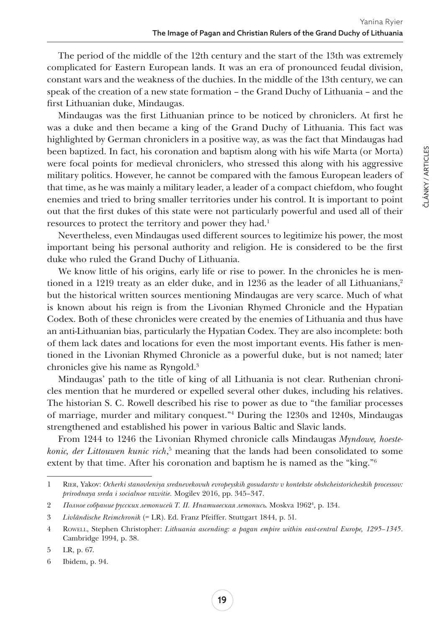The period of the middle of the 12th century and the start of the 13th was extremely complicated for Eastern European lands. It was an era of pronounced feudal division, constant wars and the weakness of the duchies. In the middle of the 13th century, we can speak of the creation of a new state formation – the Grand Duchy of Lithuania – and the first Lithuanian duke, Mindaugas.

Mindaugas was the first Lithuanian prince to be noticed by chroniclers. At first he was a duke and then became a king of the Grand Duchy of Lithuania. This fact was highlighted by German chroniclers in a positive way, as was the fact that Mindaugas had been baptized. In fact, his coronation and baptism along with his wife Marta (or Morta) were focal points for medieval chroniclers, who stressed this along with his aggressive military politics. However, he cannot be compared with the famous European leaders of that time, as he was mainly a military leader, a leader of a compact chiefdom, who fought enemies and tried to bring smaller territories under his control. It is important to point out that the first dukes of this state were not particularly powerful and used all of their resources to protect the territory and power they had.<sup>1</sup>

Nevertheless, even Mindaugas used different sources to legitimize his power, the most important being his personal authority and religion. He is considered to be the first duke who ruled the Grand Duchy of Lithuania.

We know little of his origins, early life or rise to power. In the chronicles he is mentioned in a 1219 treaty as an elder duke, and in 1236 as the leader of all Lithuanians,<sup>2</sup> but the historical written sources mentioning Mindaugas are very scarce. Much of what is known about his reign is from the [Livonian Rhymed Chronicle](https://en.wikipedia.org/wiki/Livonian_Rhymed_Chronicle) and the [Hypatian](https://en.wikipedia.org/wiki/Hypatian_Codex)  [Codex.](https://en.wikipedia.org/wiki/Hypatian_Codex) Both of these chronicles were created by the enemies of Lithuania and thus have an anti-Lithuanian bias, particularly the Hypatian Codex. They are also incomplete: both of them lack dates and locations for even the most important events. His father is mentioned in the [Livonian Rhymed Chronicle](https://en.wikipedia.org/wiki/Livonian_Rhymed_Chronicle) as a powerful duke, but is not named; later chronicles give his name as [Ryngold.](https://en.wikipedia.org/wiki/Ryngold) 3

Mindaugas' path to the title of king of all Lithuania is not clear. Ruthenian chronicles mention that he murdered or expelled several other dukes, including his relatives. The historian S. C. Rowell described his rise to power as due to "the familiar processes of marriage, murder and military conquest."4 During the 1230s and 1240s, Mindaugas strengthened and established his power in various Baltic and Slavic lands.

From 1244 to 1246 the Livonian Rhymed chronicle calls Mindaugas *Myndowe, hoestekonic, der Littouwen kunic rich*, 5 meaning that the lands had been consolidated to some extent by that time. After his coronation and baptism he is named as the "king."<sup>6</sup>

<sup>1</sup> Rier, Yakov: *Ocherki stanovleniya srednevekovuh evropeyskih gosudarstv v kontekste obshcheistoricheskih processov: prirodnaya sreda i socialnoe razvitie.* Mogilev 2016, pp. 345–347.

<sup>2</sup> *Полное собрание русских летописей Т. II. Ипативеская летопись*. Moskva 19624 , p. 134.

<sup>3</sup> *Livländische Reimchronik* (= LR). Ed. Franz Pfeiffer. Stuttgart 1844, p. 51.

<sup>4</sup> Rowell, Stephen Christopher: *Lithuania ascending: a pagan empire within east-central Europe, 1295–1345*. Cambridge 1994, p. 38.

<sup>5</sup> LR, p. 67.

<sup>6</sup> Ibidem, p. 94.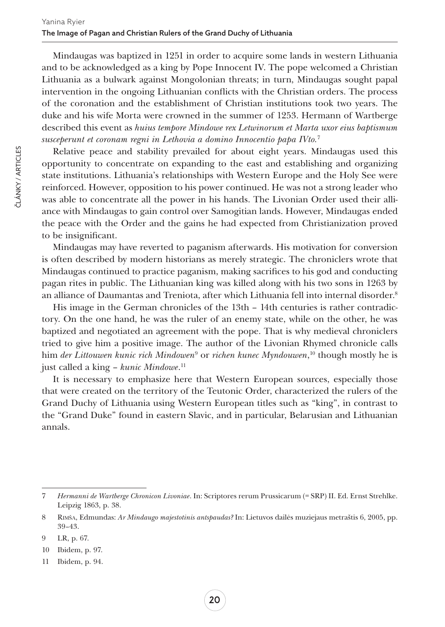Mindaugas was baptized in 1251 in order to acquire some lands in western Lithuania and to be acknowledged as a king by [Pope Innocent IV](https://en.wikipedia.org/wiki/Pope_Innocent_IV). The pope welcomed a Christian Lithuania as a bulwark against Mongolonian threats; in turn, Mindaugas sought papal intervention in the ongoing Lithuanian conflicts with the Christian orders. The process of the coronation and the establishment of Christian institutions took two years. The duke and his wife [Morta](https://en.wikipedia.org/wiki/Morta) were crowned in the summer of 1253. Hermann of Wartberge described this event as *huius tempore Mindowe rex Letwinorum et Marta uxor eius baptismum susceperunt et coronam regni in Lethovia a domino Innocentio papa IVto.*<sup>7</sup>

Relative peace and stability prevailed for about eight years. Mindaugas used this opportunity to concentrate on expanding to the east and establishing and organizing state institutions. Lithuania's relationships with Western Europe and the [Holy See](https://en.wikipedia.org/wiki/Holy_See) were reinforced. However, opposition to his power continued. He was not a strong leader who was able to concentrate all the power in his hands. The Livonian Order used their alliance with Mindaugas to gain control over Samogitian lands. However, Mindaugas ended the peace with the Order and the gains he had expected from Christianization proved to be insignificant.

Mindaugas may have reverted to [paganism](https://en.wikipedia.org/wiki/Lithuanian_mythology) afterwards. His motivation for conversion is often described by modern historians as merely strategic. The chroniclers wrote that Mindaugas continued to practice paganism, making sacrifices to his god and conducting pagan rites in public. The Lithuanian king was killed along with his two sons in 1263 by an alliance of Daumantas and Treniota, after which Lithuania fell into internal disorder.8

His image in the German chronicles of the 13th – 14th centuries is rather contradictory. On the one hand, he was the ruler of an enemy state, while on the other, he was baptized and negotiated an agreement with the pope. That is why medieval chroniclers tried to give him a positive image. The author of the Livonian Rhymed chronicle calls him *der Littouwen kunic rich Mindowen*<sup>9</sup> or *richen kunec Myndouwen*,<sup>10</sup> though mostly he is just called a king – *kunic Mindowe*. 11

It is necessary to emphasize here that Western European sources, especially those that were created on the territory of the Teutonic Order, characterized the rulers of the Grand Duchy of Lithuania using Western European titles such as "king", in contrast to the "Grand Duke" found in eastern Slavic, and in particular, Belarusian and Lithuanian annals.

<sup>7</sup> *Hermanni de Wartberge Chronicon Livoniae*. In: Scriptores rerum Prussicarum (= SRP) II. Ed. Ernst Strehlke. Leipzig 1863, p. 38.

<sup>8</sup> Rimša, Edmundas: *Ar Mindaugo majestotinis antspaudas?* In: Lietuvos dailės muziejaus metraštis 6, 2005, pp. 39–43.

<sup>9</sup> LR, p. 67.

<sup>10</sup> Ibidem, p. 97.

<sup>11</sup> Ibidem, p. 94.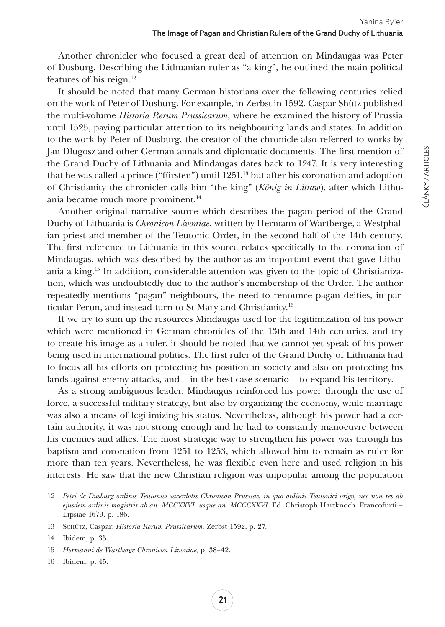ČLÁNKY / ARTICLES

ČLÁNKY / ARTICLES

Another chronicler who focused a great deal of attention on Mindaugas was Peter of Dusburg. Describing the Lithuanian ruler as "a king", he outlined the main political features of his reign.12

It should be noted that many German historians over the following centuries relied on the work of Peter of Dusburg. For example, in Zerbst in 1592, Caspar Shütz published the multi-volume *Historia Rerum Prussicarum*, where he examined the history of Prussia until 1525, paying particular attention to its neighbouring lands and states. In addition to the work by Peter of Dusburg, the creator of the chronicle also referred to works by Jan Długosz and other German annals and diplomatic documents. The first mention of the Grand Duchy of Lithuania and Mindaugas dates back to 1247. It is very interesting that he was called a prince ("fürsten") until 1251,<sup>13</sup> but after his coronation and adoption of Christianity the chronicler calls him "the king" (*König in Littaw*), after which Lithuania became much more prominent.<sup>14</sup>

Another original narrative source which describes the pagan period of the Grand Duchy of Lithuania is *Chronicon Livoniae*, written by Hermann of Wartberge, a Westphalian priest and member of the Teutonic Order, in the second half of the 14th century. The first reference to Lithuania in this source relates specifically to the coronation of Mindaugas, which was described by the author as an important event that gave Lithuania a king.<sup>15</sup> In addition, considerable attention was given to the topic of Christianization, which was undoubtedly due to the author's membership of the Order. The author repeatedly mentions "pagan" neighbours, the need to renounce pagan deities, in particular Perun, and instead turn to St Mary and Christianity.16

If we try to sum up the resources Mindaugas used for the legitimization of his power which were mentioned in German chronicles of the 13th and 14th centuries, and try to create his image as a ruler, it should be noted that we cannot yet speak of his power being used in international politics. The first ruler of the Grand Duchy of Lithuania had to focus all his efforts on protecting his position in society and also on protecting his lands against enemy attacks, and – in the best case scenario – to expand his territory.

As a strong ambiguous leader, Mindaugus reinforced his power through the use of force, a successful military strategy, but also by organizing the economy, while marriage was also a means of legitimizing his status. Nevertheless, although his power had a certain authority, it was not strong enough and he had to constantly manoeuvre between his enemies and allies. The most strategic way to strengthen his power was through his baptism and coronation from 1251 to 1253, which allowed him to remain as ruler for more than ten years. Nevertheless, he was flexible even here and used religion in his interests. He saw that the new Christian religion was unpopular among the population

<sup>12</sup> *Petri de Dusburg ordinis Teutonici sacerdotis Chronicon Prussiae, in quo ordinis Teutonici origo, nec non res ab ejusdem ordinis magistris ab an. MCCXXVI. usque an. MCCCXXVI*. Ed. Christoph Hartknoch. Francofurti – Lipsiae 1679, p. 186.

<sup>13</sup> Schütz, Caspar: *Historia Rerum Prussicarum.* Zerbst 1592, p. 27.

<sup>14</sup> Ibidem, p. 35.

<sup>15</sup> *Hermanni de Wartberge Chronicon Livoniae,* p. 38–42.

<sup>16</sup> Ibidem, p. 45.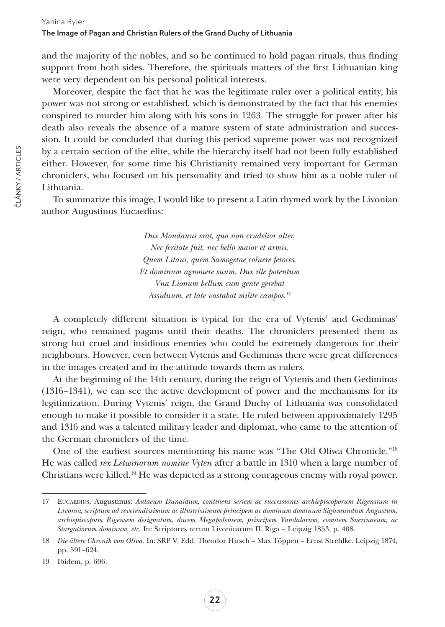and the majority of the nobles, and so he continued to hold pagan rituals, thus finding support from both sides. Therefore, the spirituals matters of the first Lithuanian king were very dependent on his personal political interests.

Moreover, despite the fact that he was the legitimate ruler over a political entity, his power was not strong or established, which is demonstrated by the fact that his enemies conspired to murder him along with his sons in 1263. The struggle for power after his death also reveals the absence of a mature system of state administration and succession. It could be concluded that during this period supreme power was not recognized by a certain section of the elite, while the hierarchy itself had not been fully established either. However, for some time his Christianity remained very important for German chroniclers, who focused on his personality and tried to show him as a noble ruler of Lithuania.

To summarize this image, I would like to present a Latin rhymed work by the Livonian author Augustinus Eucaedius:

> *Dux Mondauus erat, quo non crudelior alter, Nec feritate fuit, nec bello maior et armis, Quem Litaui, quem Samogetae coluere feroces, Et dominum agnouere suum. Dux ille potentum Vna Lionum bellum cum gente gerebat Assiduum, et late vastabat milite campos.*<sup>17</sup>

A completely different situation is typical for the era of Vytenis' and Gediminas' reign, who remained pagans until their deaths. The chroniclers presented them as strong but cruel and insidious enemies who could be extremely dangerous for their neighbours. However, even between Vytenis and Gediminas there were great differences in the images created and in the attitude towards them as rulers.

At the beginning of the 14th century, during the reign of Vytenis and then Gediminas (1316–1341), we can see the active development of power and the mechanisms for its legitimization. During Vytenis' reign, the Grand Duchy of Lithuania was consolidated enough to make it possible to consider it a state. He ruled between approximately 1295 and 1316 and was a talented military leader and diplomat, who came to the attention of the German chroniclers of the time.

One of the earliest sources mentioning his name was "The Old Oliwa Chronicle."18 He was called *rex Letwinorum nomine Vyten* after a battle in 1310 when a large number of Christians were killed.<sup>19</sup> He was depicted as a strong courageous enemy with royal power.

<sup>17</sup> Eucaedius, Augustinus: *Aulaeum Dunaidum, continens seriem ac successiones archiepiscoporum Rigensium in Livonia, scriptum ad reverendissimum ac illustrissimum principem ac dominum dominum Sigismundum Augustum, archiepiscopum Rigensem designatum, ducem Megapolensem, principem Vandalorum, comitem Suerinaeum, ac Stargatiorum dominum, etc.* In: Scriptores rerum Livonicarum II. Riga – Leipzig 1853, p. 408.

<sup>18</sup> *Die ältere Chronik von Oliva*. In: SRP V. Edd. Theodor Hirsch – Max Töppen – Ernst Strehlke. Leipzig 1874, pp. 591–624.

<sup>19</sup> Ibidem, p. 606.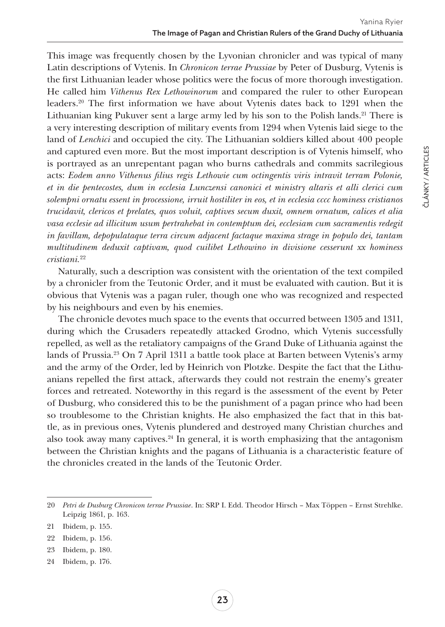This image was frequently chosen by the Lyvonian chronicler and was typical of many Latin descriptions of Vytenis. In *Chronicon terrae Prussiae* by Peter of Dusburg, Vytenis is the first Lithuanian leader whose politics were the focus of more thorough investigation. He called him *Vithenus Rex Lethowinorum* and compared the ruler to other European leaders.20 The first information we have about Vytenis dates back to 1291 when the Lithuanian king Pukuver sent a large army led by his son to the Polish lands.<sup>21</sup> There is a very interesting description of military events from 1294 when Vytenis laid siege to the land of *Lenchici* and occupied the city. The Lithuanian soldiers killed about 400 people and captured even more. But the most important description is of Vytenis himself, who is portrayed as an unrepentant pagan who burns cathedrals and commits sacrilegious acts: *Eodem anno Vithenus filius regis Lethowie cum octingentis viris intravit terram Polonie, et in die pentecostes, dum in ecclesia Lunczensi canonici et ministry altaris et alli clerici cum solempni ornatu essent in processione, irruit hostiliter in eos, et in ecclesia cccc hominess cristianos trucidavit, clericos et prelates, quos voluit, captives secum duxit, omnem ornatum, calices et alia vasa ecclesie ad illicitum usum pertrahebat in contemptum dei, ecclesiam cum sacramentis redegit in favillam, depopulataque terra circum adjacent factaque maxima strage in populo dei, tantam multitudinem deduxit captivam, quod cuilibet Lethowino in divisione cesserunt xx hominess cristiani.*<sup>22</sup>

Naturally, such a description was consistent with the orientation of the text compiled by a chronicler from the Teutonic Order, and it must be evaluated with caution. But it is obvious that Vytenis was a pagan ruler, though one who was recognized and respected by his neighbours and even by his enemies.

The chronicle devotes much space to the events that occurred between 1305 and 1311, during which the Crusaders repeatedly attacked Grodno, which Vytenis successfully repelled, as well as the retaliatory campaigns of the Grand Duke of Lithuania against the lands of Prussia.23 On 7 April 1311 a battle took place at Barten between Vytenis's army and the army of the Order, led by Heinrich von Plotzke. Despite the fact that the Lithuanians repelled the first attack, afterwards they could not restrain the enemy's greater forces and retreated. Noteworthy in this regard is the assessment of the event by Peter of Dusburg, who considered this to be the punishment of a pagan prince who had been so troublesome to the Christian knights. He also emphasized the fact that in this battle, as in previous ones, Vytenis plundered and destroyed many Christian churches and also took away many captives. $24$  In general, it is worth emphasizing that the antagonism between the Christian knights and the pagans of Lithuania is a characteristic feature of the chronicles created in the lands of the Teutonic Order.

- 23 Ibidem, p. 180.
- 24 Ibidem, p. 176.

ČLÁNKY / ARTICLES

ČLÁNKY / ARTICLES

<sup>20</sup> *Petri de Dusburg Chronicon terrae Prussiae*. In: SRP I. Edd. Theodor Hirsch – Max Töppen – Ernst Strehlke. Leipzig 1861, p. 163.

<sup>21</sup> Ibidem, p. 155.

<sup>22</sup> Ibidem, p. 156.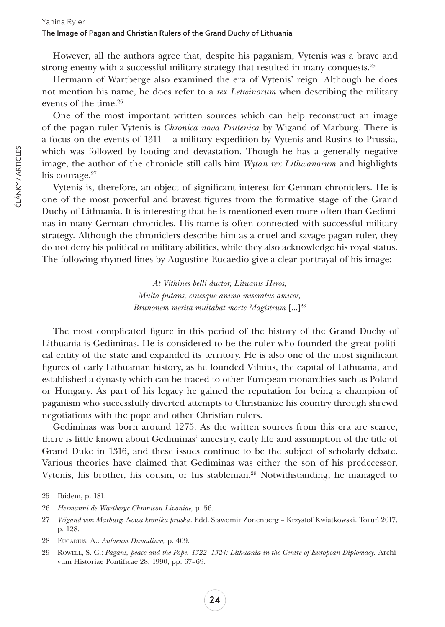However, all the authors agree that, despite his paganism, Vytenis was a brave and strong enemy with a successful military strategy that resulted in many conquests.25

Hermann of Wartberge also examined the era of Vytenis' reign. Although he does not mention his name, he does refer to a *rex Letwinorum* when describing the military events of the time.26

One of the most important written sources which can help reconstruct an image of the pagan ruler Vytenis is *Chronica nova Prutenica* by Wigand of Marburg. There is a focus on the events of 1311 – a military expedition by Vytenis and Rusins to Prussia, which was followed by looting and devastation. Though he has a generally negative image, the author of the chronicle still calls him *Wytan rex Lithwanorum* and highlights his courage.<sup>27</sup>

Vytenis is, therefore, an object of significant interest for German chroniclers. He is one of the most powerful and bravest figures from the formative stage of the Grand Duchy of Lithuania. It is interesting that he is mentioned even more often than Gediminas in many German chronicles. His name is often connected with successful military strategy. Although the chroniclers describe him as a cruel and savage pagan ruler, they do not deny his political or military abilities, while they also acknowledge his royal status. The following rhymed lines by Augustine Eucaedio give a clear portrayal of his image:

> *At Vithines belli ductor, Lituanis Heros, Multa putans, ciuesque animo miseratus amicos, Brunonem merita multabat morte Magistrum* [...]<sup>28</sup>

The most complicated figure in this period of the history of the Grand Duchy of Lithuania is Gediminas. He is considered to be the ruler who founded the great political entity of the state and expanded its territory. He is also one of the most significant figures of early [Lithuanian history,](https://en.wikipedia.org/wiki/History_of_Lithuania) as he founded [Vilnius,](https://en.wikipedia.org/wiki/Vilnius) the capital of Lithuania, and established a dynasty which can be traced to other European monarchies such as [Poland](https://en.wikipedia.org/wiki/Kingdom_of_Poland_(1025%E2%80%931385)) or [Hungary.](https://en.wikipedia.org/wiki/Kingdom_of_Hungary) As part of his legacy he gained the reputation for being a champion of [paganism](https://en.wikipedia.org/wiki/Paganism) who successfully diverted attempts to [Christianize his country](https://en.wikipedia.org/wiki/Christianization_of_Lithuania) through shrewd [negotiations](https://en.wikipedia.org/wiki/Letters_of_Gediminas) with the [pope](https://en.wikipedia.org/wiki/Pope) and other Christian rulers.

Gediminas was born around 1275. As the written sources from this era are scarce, there is little known about Gediminas' ancestry, early life and assumption of the title of Grand Duke in 1316, and these issues continue to be the subject of scholarly debate. Various theories have claimed that Gediminas was either the son of his predecessor, [Vytenis](https://en.wikipedia.org/wiki/Vytenis), his brother, his cousin, or his stableman.29 Notwithstanding, he managed to

<sup>25</sup> Ibidem, p. 181.

<sup>26</sup> *Hermanni de Wartberge Chronicon Livoniae,* p. 56.

<sup>27</sup> *Wigand von Marburg, Nowa kronika pruska*. Edd. Sławomir Zonenberg – Krzystof Kwiatkowski. Toruń 2017, p. 128.

<sup>28</sup> Eucadius, A.: *Aulaeum Dunadium,* p. 409.

<sup>29</sup> Rowell, S. C.: *Pagans, peace and the Pope. 1322–1324: Lithuania in the Centre of European Diplomacy.* Archivum Historiae Pontificae 28, 1990, pp. 67–69.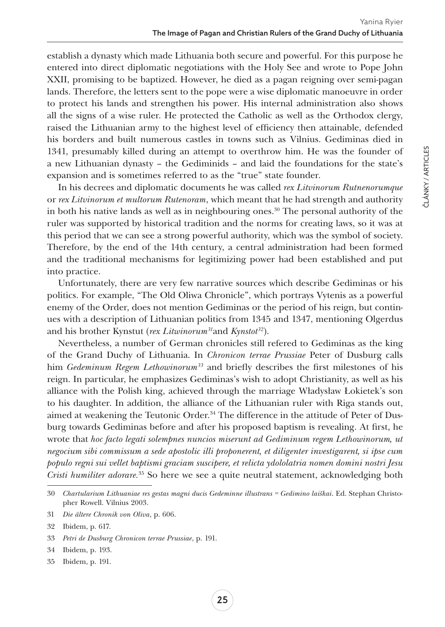ČLÁNKY / ARTICLES

ČLÁNKY / ARTICLES

establish a dynasty which made Lithuania both secure and powerful. For this purpose he entered into direct diplomatic negotiations with the [Holy See](https://en.wikipedia.org/wiki/Holy_See) and wrote to Pope [John](https://en.wikipedia.org/wiki/John_XXII)  [XXII,](https://en.wikipedia.org/wiki/John_XXII) promising to be baptized. However, he died as a pagan reigning over semi-pagan lands. Therefore, the letters sent to the pope were a wise diplomatic manoeuvre in order to protect his lands and strengthen his power. His internal administration also shows all the signs of a wise ruler. He protected the Catholic as well as the Orthodox clergy, raised the Lithuanian army to the highest level of efficiency then attainable, defended his borders and built numerous castles in towns such as [Vilnius](https://en.wikipedia.org/wiki/Vilnius). Gediminas died in 1341, presumably killed during an attempt to overthrow him. He was the founder of a new Lithuanian dynasty – the [Gediminids](https://en.wikipedia.org/wiki/Gediminids) – and laid the foundations for the state's expansion and is sometimes referred to as the "true" state founder.

In his decrees and diplomatic documents he was called *rex Litvinorum Rutnenorumque* or *rex Litvinorum et multorum Rutenoram*, which meant that he had strength and authority in both his native lands as well as in neighbouring ones.<sup>30</sup> The personal authority of the ruler was supported by historical tradition and the norms for creating laws, so it was at this period that we can see a strong powerful authority, which was the symbol of society. Therefore, by the end of the 14th century, a central administration had been formed and the traditional mechanisms for legitimizing power had been established and put into practice.

Unfortunately, there are very few narrative sources which describe Gediminas or his politics. For example, "The Old Oliwa Chronicle", which portrays Vytenis as a powerful enemy of the Order, does not mention Gediminas or the period of his reign, but continues with a description of Lithuanian politics from 1345 and 1347, mentioning Olgerdus and his brother Kynstut (*rex Litwinorum31*and *Kynstot32*).

Nevertheless, a number of German chronicles still refered to Gediminas as the king of the Grand Duchy of Lithuania. In *Chronicon terrae Prussiae* Peter of Dusburg calls him *Gedeminum Regem Lethowinorum*<sup>33</sup> and briefly describes the first milestones of his reign. In particular, he emphasizes Gediminas's wish to adopt Christianity, as well as his alliance with the Polish king, achieved through the marriage Władysław Łokietek's son to his daughter. In addition, the alliance of the Lithuanian ruler with Riga stands out, aimed at weakening the Teutonic Order.<sup>34</sup> The difference in the attitude of Peter of Dusburg towards Gediminas before and after his proposed baptism is revealing. At first, he wrote that *hoc facto legati solempnes nuncios miserunt ad Gediminum regem Lethowinorum, ut negocium sibi commissum a sede apostolic illi proponerent, et diligenter investigarent, si ipse cum populo regni sui vellet baptismi graciam suscipere, et relicta ydololatria nomen domini nostri Jesu Cristi humiliter adorare.*<sup>35</sup> So here we see a quite neutral statement, acknowledging both

35 Ibidem, p. 191.

<sup>30</sup> *Chartularium Lithuaniae res gestas magni ducis Gedeminne illustrans = Gedimino laiškai*. Ed. Stephan Christopher Rowell. Vilnius 2003.

<sup>31</sup> *Die ältere Chronik von Oliva*, p. 606.

<sup>32</sup> Ibidem, p. 617.

<sup>33</sup> *Petri de Dusburg Chronicon terrae Prussiae*, p. 191.

<sup>34</sup> Ibidem, p. 193.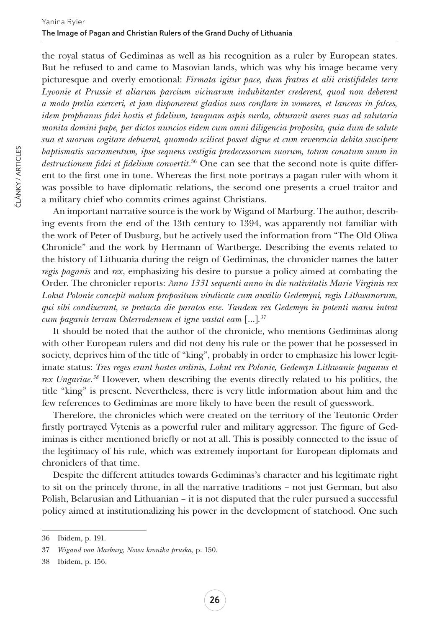the royal status of Gediminas as well as his recognition as a ruler by European states. But he refused to and came to Masovian lands, which was why his image became very picturesque and overly emotional: *Firmata igitur pace, dum fratres et alii cristifideles terre Lyvonie et Prussie et aliarum parcium vicinarum indubitanter crederent, quod non deberent a modo prelia exerceri, et jam disponerent gladios suos conflare in vomeres, et lanceas in falces, idem prophanus fidei hostis et fidelium, tanquam aspis surda, obturavit aures suas ad salutaria monita domini pape, per dictos nuncios eidem cum omni diligencia proposita, quia dum de salute sua et suorum cogitare debuerat, quomodo scilicet posset digne et cum reverencia debita suscipere baptismatis sacramentum, ipse sequens vestigia predecessorum suorum, totum conatum suum in destructionem fidei et fidelium convertit*. <sup>36</sup> One can see that the second note is quite different to the first one in tone. Whereas the first note portrays a pagan ruler with whom it was possible to have diplomatic relations, the second one presents a cruel traitor and a military chief who commits crimes against Christians.

An important narrative source is the work by Wigand of Marburg. The author, describing events from the end of the 13th century to 1394, was apparently not familiar with the work of Peter of Dusburg, but he actively used the information from "The Old Oliwa Chronicle" and the work by Hermann of Wartberge. Describing the events related to the history of Lithuania during the reign of Gediminas, the chronicler names the latter *regis paganis* and *rex*, emphasizing his desire to pursue a policy aimed at combating the Order. The chronicler reports: *Аnno 1331 sequenti anno in die nativitatis Marie Virginis rex Lokut Polonie concepit malum propositum vindicate cum auxilio Gedemyni, regis Lithwanorum, qui sibi condixerant, se pretacta die paratos esse. Tandem rex Gedemyn in potenti manu intrat cum paganis terram Osterrodensem et igne vastat eam* […]*. 37*

It should be noted that the author of the chronicle, who mentions Gediminas along with other European rulers and did not deny his rule or the power that he possessed in society, deprives him of the title of "king", probably in order to emphasize his lower legitimate status: *Tres reges erant hostes ordinis, Lokut rex Polonie, Gedemyn Lithwanie paganus et rex Ungariae.38* However, when describing the events directly related to his politics, the title "king" is present. Nevertheless, there is very little information about him and the few references to Gediminas are more likely to have been the result of guesswork.

Therefore, the chronicles which were created on the territory of the Teutonic Order firstly portrayed Vytenis as a powerful ruler and military aggressor. The figure of Gediminas is either mentioned briefly or not at all. This is possibly connected to the issue of the legitimacy of his rule, which was extremely important for European diplomats and chroniclers of that time.

Despite the different attitudes towards Gediminas's character and his legitimate right to sit on the princely throne, in all the narrative traditions – not just German, but also Polish, Belarusian and Lithuanian – it is not disputed that the ruler pursued a successful policy aimed at institutionalizing his power in the development of statehood. One such

<sup>36</sup> Ibidem, p. 191.

<sup>37</sup> *Wigand von Marburg, Nowa kronika pruska,* p. 150.

<sup>38</sup> Ibidem, p. 156.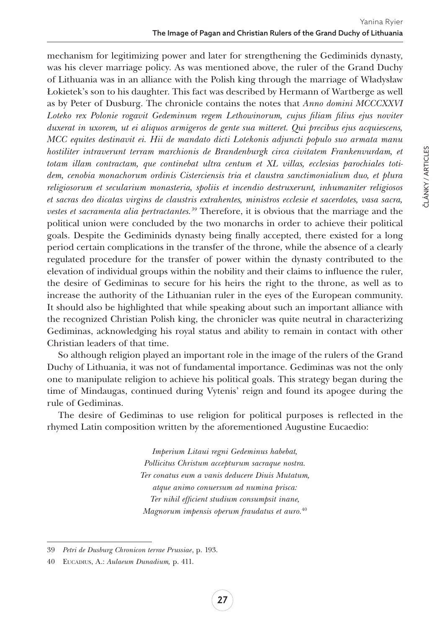mechanism for legitimizing power and later for strengthening the Gediminids dynasty, was his clever marriage policy. As was mentioned above, the ruler of the Grand Duchy of Lithuania was in an alliance with the Polish king through the marriage of Władysław Łokietek's son to his daughter. This fact was described by Hermann of Wartberge as well as by Peter of Dusburg. The chronicle contains the notes that *Anno domini MCCCXXVI Loteko rex Polonie rogavit Gedeminum regem Lethowinorum, cujus filiam filius ejus noviter duxerat in uxorem, ut ei aliquos armigeros de gente sua mitteret. Qui precibus ejus acquiescens, MCC equites destinavit ei. Hii de mandato dicti Lotekonis adjuncti populo suo armata manu*  hostiliter intraverunt terram marchionis de Brandenburgk circa civitatem Frankenvurdam, et *totam illam contractam, que continebat ultra centum et XL villas, ecclesias parochiales totidem, cenobia monachorum ordinis Cisterciensis tria et claustra sanctimonialium duo, et plura religiosorum et secularium monasteria, spoliis et incendio destruxerunt, inhumaniter religiosos et sacras deo dicatas virgins de claustris extrahentes, ministros ecclesie et sacerdotes, vasa sacra, vestes et sacramenta alia pertractantes.39* Therefore, it is obvious that the marriage and the political union were concluded by the two monarchs in order to achieve their political goals. Despite the Gediminids dynasty being finally accepted, there existed for a long period certain complications in the transfer of the throne, while the absence of a clearly regulated procedure for the transfer of power within the dynasty contributed to the elevation of individual groups within the nobility and their claims to influence the ruler, the desire of Gediminas to secure for his heirs the right to the throne, as well as to increase the authority of the Lithuanian ruler in the eyes of the European community. It should also be highlighted that while speaking about such an important alliance with the recognized Christian Polish king, the chronicler was quite neutral in characterizing Gediminas, acknowledging his royal status and ability to remain in contact with other Christian leaders of that time.

So although religion played an important role in the image of the rulers of the Grand Duchy of Lithuania, it was not of fundamental importance. Gediminas was not the only one to manipulate religion to achieve his political goals. This strategy began during the time of Mindaugas, continued during Vytenis' reign and found its apogee during the rule of Gediminas.

The desire of Gediminas to use religion for political purposes is reflected in the rhymed Latin composition written by the aforementioned Augustine Eucaedio:

> *Imperium Litaui regni Gedeminus habebat, Pollicitus Christum accepturum sacraque nostra. Ter conatus eum a vanis deducere Diuis Mutatum, atque animo conuersum ad numina prisca: Ter nihil efficient studium consumpsit inane, Magnorum impensis operum fraudatus et auro.*<sup>40</sup>

ČLÁNKY / ARTICLES

ČLÁNKY / ARTICLES

<sup>39</sup> *Petri de Dusburg Chronicon terrae Prussiae*, p. 193.

<sup>40</sup> Eucadius, A.: *Aulaeum Dunadium,* p. 411.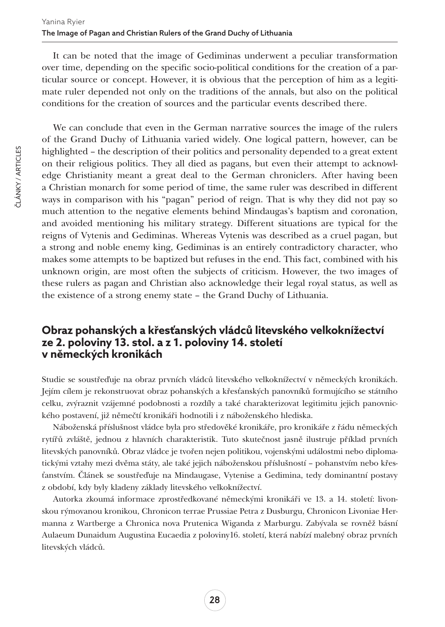It can be noted that the image of Gediminas underwent a peculiar transformation over time, depending on the specific socio-political conditions for the creation of a particular source or concept. However, it is obvious that the perception of him as a legitimate ruler depended not only on the traditions of the annals, but also on the political conditions for the creation of sources and the particular events described there.

We can conclude that even in the German narrative sources the image of the rulers of the Grand Duchy of Lithuania varied widely. One logical pattern, however, can be highlighted – the description of their politics and personality depended to a great extent on their religious politics. They all died as pagans, but even their attempt to acknowledge Christianity meant a great deal to the German chroniclers. After having been a Christian monarch for some period of time, the same ruler was described in different ways in comparison with his "pagan" period of reign. That is why they did not pay so much attention to the negative elements behind Mindaugas's baptism and coronation, and avoided mentioning his military strategy. Different situations are typical for the reigns of Vytenis and Gediminas. Whereas Vytenis was described as a cruel pagan, but a strong and noble enemy king, Gediminas is an entirely contradictory character, who makes some attempts to be baptized but refuses in the end. This fact, combined with his unknown origin, are most often the subjects of criticism. However, the two images of these rulers as pagan and Christian also acknowledge their legal royal status, as well as the existence of a strong enemy state – the Grand Duchy of Lithuania.

## **Obraz pohanských a křesťanských vládců litevského velkoknížectví ze 2. poloviny 13. stol. a z 1. poloviny 14. století v německých kronikách**

Studie se soustřeďuje na obraz prvních vládců litevského velkoknížectví v německých kronikách. Jejím cílem je rekonstruovat obraz pohanských a křesťanských panovníků formujícího se státního celku, zvýraznit vzájemné podobnosti a rozdíly a také charakterizovat legitimitu jejich panovnického postavení, již němečtí kronikáři hodnotili i z náboženského hlediska.

Náboženská příslušnost vládce byla pro středověké kronikáře, pro kronikáře z řádu německých rytířů zvláště, jednou z hlavních charakteristik. Tuto skutečnost jasně ilustruje příklad prvních litevských panovníků. Obraz vládce je tvořen nejen politikou, vojenskými událostmi nebo diplomatickými vztahy mezi dvěma státy, ale také jejich náboženskou příslušností – pohanstvím nebo křesťanstvím. Článek se soustřeďuje na Mindaugase, Vytenise a Gedimina, tedy dominantní postavy z období, kdy byly kladeny základy litevského velkoknížectví.

Autorka zkoumá informace zprostředkované německými kronikáři ve 13. a 14. století: livonskou rýmovanou kronikou, Chronicon terrae Prussiae Petra z Dusburgu, Chronicon Livoniae Hermanna z Wartberge a Chronica nova Prutenica Wiganda z Marburgu. Zabývala se rovněž básní Aulaeum Dunaidum Augustina Eucaedia z poloviny16. století, která nabízí malebný obraz prvních litevských vládců.